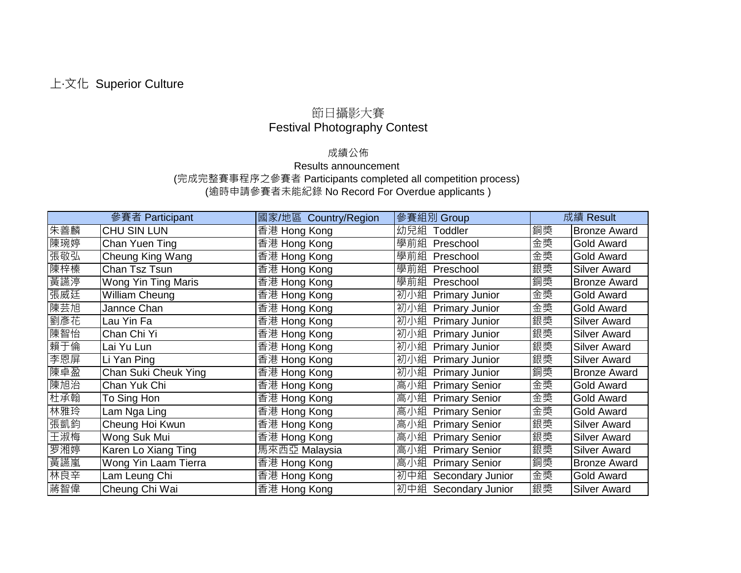## 上‧文化 Superior Culture

## 節日攝影大賽 Festival Photography Contest

## 成績公佈

## Results announcement (完成完整賽事程序之參賽者 Participants completed all competition process) (逾時申請參賽者未能紀錄 No Record For Overdue applicants )

| 參賽者 Participant |                            | 國家/地區 Country/Region | 參賽組別 Group                   | 成績 Result |                     |
|-----------------|----------------------------|----------------------|------------------------------|-----------|---------------------|
| 朱善麟             | CHU SIN LUN                | 香港 Hong Kong         | 幼兒組<br>Toddler               | 銅獎        | <b>Bronze Award</b> |
| 陳琬婷             | Chan Yuen Ting             | 香港 Hong Kong         | 學前組<br>Preschool             | 金獎        | Gold Award          |
| 張敬弘             | Cheung King Wang           | 香港 Hong Kong         | 學前組<br>Preschool             | 金獎        | <b>Gold Award</b>   |
| 陳梓榛             | Chan Tsz Tsun              | 香港 Hong Kong         | 學前組<br>Preschool             | 銀獎        | <b>Silver Award</b> |
| 黃讌渟             | <b>Wong Yin Ting Maris</b> | 香港 Hong Kong         | 學前組<br>Preschool             | 銅獎        | <b>Bronze Award</b> |
| 張威廷             | William Cheung             | 香港 Hong Kong         | 初小組<br><b>Primary Junior</b> | 金獎        | <b>Gold Award</b>   |
| 陳芸旭             | Jannce Chan                | 香港 Hong Kong         | 初小組<br><b>Primary Junior</b> | 金獎        | <b>Gold Award</b>   |
| 劉彥花             | Lau Yin Fa                 | 香港 Hong Kong         | 初小組<br><b>Primary Junior</b> | 銀獎        | <b>Silver Award</b> |
| 陳智怡             | Chan Chi Yi                | 香港 Hong Kong         | 初小組<br><b>Primary Junior</b> | 銀獎        | <b>Silver Award</b> |
| 賴于倫             | Lai Yu Lun                 | 香港 Hong Kong         | 初小組<br><b>Primary Junior</b> | 銀獎        | <b>Silver Award</b> |
| 李恩屏             | Li Yan Ping                | 香港 Hong Kong         | 初小組<br><b>Primary Junior</b> | 銀獎        | <b>Silver Award</b> |
| 陳卓盈             | Chan Suki Cheuk Ying       | 香港 Hong Kong         | 初小組<br><b>Primary Junior</b> | 銅獎        | <b>Bronze Award</b> |
| 陳旭治             | Chan Yuk Chi               | 香港 Hong Kong         | 高小組<br><b>Primary Senior</b> | 金獎        | Gold Award          |
| 杜承翰             | To Sing Hon                | 香港 Hong Kong         | 高小組<br><b>Primary Senior</b> | 金獎        | <b>Gold Award</b>   |
| 林雅玲             | Lam Nga Ling               | 香港 Hong Kong         | 高小組<br><b>Primary Senior</b> | 金獎        | <b>Gold Award</b>   |
| 張凱鈞             | Cheung Hoi Kwun            | 香港 Hong Kong         | 高小組<br><b>Primary Senior</b> | 銀獎        | <b>Silver Award</b> |
| 王淑梅             | Wong Suk Mui               | 香港 Hong Kong         | 高小組<br><b>Primary Senior</b> | 銀獎        | <b>Silver Award</b> |
| 罗湘婷             | Karen Lo Xiang Ting        | 馬來西亞 Malaysia        | 高小組<br><b>Primary Senior</b> | 銀獎        | <b>Silver Award</b> |
| 黃讌嵐             | Wong Yin Laam Tierra       | 香港 Hong Kong         | 高小組<br><b>Primary Senior</b> | 銅獎        | <b>Bronze Award</b> |
| 林良辛             | Lam Leung Chi              | 香港 Hong Kong         | 初中組<br>Secondary Junior      | 金獎        | <b>Gold Award</b>   |
| 蔣智偉             | Cheung Chi Wai             | 香港 Hong Kong         | 初中組 Secondary Junior         | 銀獎        | <b>Silver Award</b> |